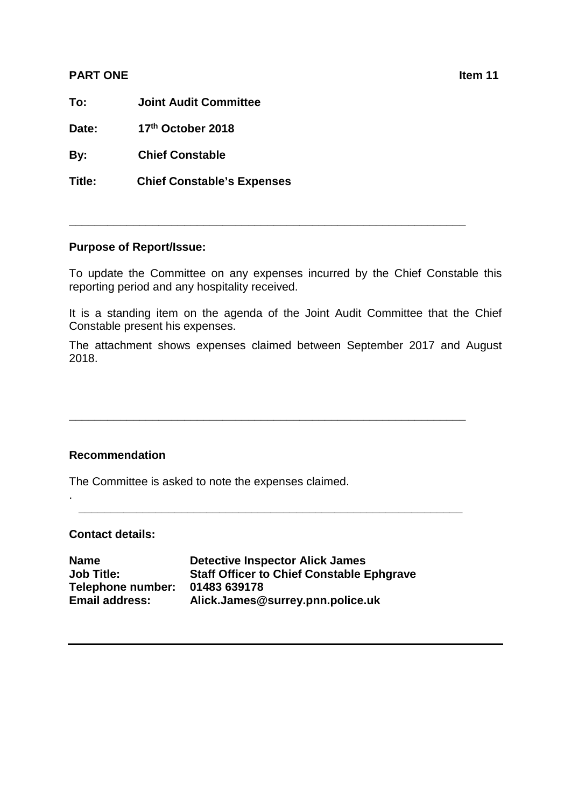## **PART ONE Internal contract on the contract of the contract of the contract of the contract of the contract of the contract of the contract of the contract of the contract of the contract of the contract of the contract**

**To: Joint Audit Committee**

**Date: 17th October 2018**

**By: Chief Constable**

**Title: Chief Constable's Expenses** 

## **Purpose of Report/Issue:**

To update the Committee on any expenses incurred by the Chief Constable this reporting period and any hospitality received.

**\_\_\_\_\_\_\_\_\_\_\_\_\_\_\_\_\_\_\_\_\_\_\_\_\_\_\_\_\_\_\_\_\_\_\_\_\_\_\_\_\_\_\_\_\_\_\_\_\_\_\_\_\_\_\_\_\_\_\_\_\_\_**

It is a standing item on the agenda of the Joint Audit Committee that the Chief Constable present his expenses.

The attachment shows expenses claimed between September 2017 and August 2018.

**\_\_\_\_\_\_\_\_\_\_\_\_\_\_\_\_\_\_\_\_\_\_\_\_\_\_\_\_\_\_\_\_\_\_\_\_\_\_\_\_\_\_\_\_\_\_\_\_\_\_\_\_\_\_\_\_\_\_\_\_\_\_**

**\_\_\_\_\_\_\_\_\_\_\_\_\_\_\_\_\_\_\_\_\_\_\_\_\_\_\_\_\_\_\_\_\_\_\_\_\_\_\_\_\_\_\_\_\_\_\_\_\_\_\_\_\_\_\_\_\_\_\_\_**

## **Recommendation**

The Committee is asked to note the expenses claimed.

## **Contact details:**

.

| <b>Detective Inspector Alick James</b>           |
|--------------------------------------------------|
| <b>Staff Officer to Chief Constable Ephgrave</b> |
| 01483 639178                                     |
| Alick.James@surrey.pnn.police.uk                 |
|                                                  |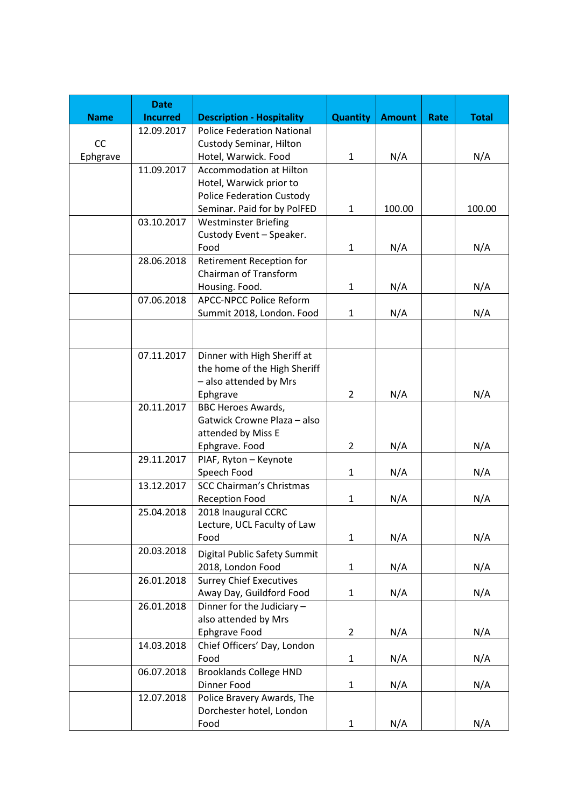|             | <b>Date</b>     |                                   |                 |               |      |              |
|-------------|-----------------|-----------------------------------|-----------------|---------------|------|--------------|
| <b>Name</b> | <b>Incurred</b> | <b>Description - Hospitality</b>  | <b>Quantity</b> | <b>Amount</b> | Rate | <b>Total</b> |
|             | 12.09.2017      | <b>Police Federation National</b> |                 |               |      |              |
| CC          |                 | <b>Custody Seminar, Hilton</b>    |                 |               |      |              |
| Ephgrave    |                 | Hotel, Warwick. Food              | $\mathbf{1}$    | N/A           |      | N/A          |
|             | 11.09.2017      | <b>Accommodation at Hilton</b>    |                 |               |      |              |
|             |                 | Hotel, Warwick prior to           |                 |               |      |              |
|             |                 | <b>Police Federation Custody</b>  |                 |               |      |              |
|             |                 | Seminar. Paid for by PolFED       | $\mathbf{1}$    | 100.00        |      | 100.00       |
|             | 03.10.2017      | <b>Westminster Briefing</b>       |                 |               |      |              |
|             |                 | Custody Event - Speaker.          |                 |               |      |              |
|             |                 | Food                              | $\mathbf{1}$    | N/A           |      | N/A          |
|             | 28.06.2018      | Retirement Reception for          |                 |               |      |              |
|             |                 | Chairman of Transform             |                 |               |      |              |
|             |                 | Housing. Food.                    | 1               | N/A           |      | N/A          |
|             | 07.06.2018      | <b>APCC-NPCC Police Reform</b>    |                 |               |      |              |
|             |                 | Summit 2018, London. Food         | $\mathbf{1}$    | N/A           |      | N/A          |
|             |                 |                                   |                 |               |      |              |
|             |                 |                                   |                 |               |      |              |
|             | 07.11.2017      | Dinner with High Sheriff at       |                 |               |      |              |
|             |                 | the home of the High Sheriff      |                 |               |      |              |
|             |                 | - also attended by Mrs            |                 |               |      |              |
|             |                 | Ephgrave                          | $\overline{2}$  | N/A           |      | N/A          |
|             | 20.11.2017      | <b>BBC Heroes Awards,</b>         |                 |               |      |              |
|             |                 | Gatwick Crowne Plaza - also       |                 |               |      |              |
|             |                 | attended by Miss E                |                 |               |      |              |
|             |                 | Ephgrave. Food                    | 2               | N/A           |      | N/A          |
|             | 29.11.2017      | PIAF, Ryton - Keynote             |                 |               |      |              |
|             |                 | Speech Food                       | $\mathbf{1}$    | N/A           |      | N/A          |
|             | 13.12.2017      | <b>SCC Chairman's Christmas</b>   |                 |               |      |              |
|             |                 | <b>Reception Food</b>             | 1               | N/A           |      | N/A          |
|             | 25.04.2018      | 2018 Inaugural CCRC               |                 |               |      |              |
|             |                 | Lecture, UCL Faculty of Law       |                 |               |      |              |
|             |                 | Food                              | $\mathbf{1}$    | N/A           |      | N/A          |
|             | 20.03.2018      | Digital Public Safety Summit      |                 |               |      |              |
|             |                 | 2018, London Food                 | 1               | N/A           |      | N/A          |
|             | 26.01.2018      | <b>Surrey Chief Executives</b>    |                 |               |      |              |
|             |                 | Away Day, Guildford Food          | 1               | N/A           |      | N/A          |
|             | 26.01.2018      | Dinner for the Judiciary -        |                 |               |      |              |
|             |                 | also attended by Mrs              |                 |               |      |              |
|             |                 | Ephgrave Food                     | $\overline{2}$  | N/A           |      | N/A          |
|             | 14.03.2018      | Chief Officers' Day, London       |                 |               |      |              |
|             |                 | Food                              | 1               | N/A           |      | N/A          |
|             | 06.07.2018      | <b>Brooklands College HND</b>     |                 |               |      |              |
|             |                 | Dinner Food                       | $\mathbf{1}$    | N/A           |      | N/A          |
|             | 12.07.2018      | Police Bravery Awards, The        |                 |               |      |              |
|             |                 | Dorchester hotel, London          |                 |               |      |              |
|             |                 | Food                              | 1               | N/A           |      | N/A          |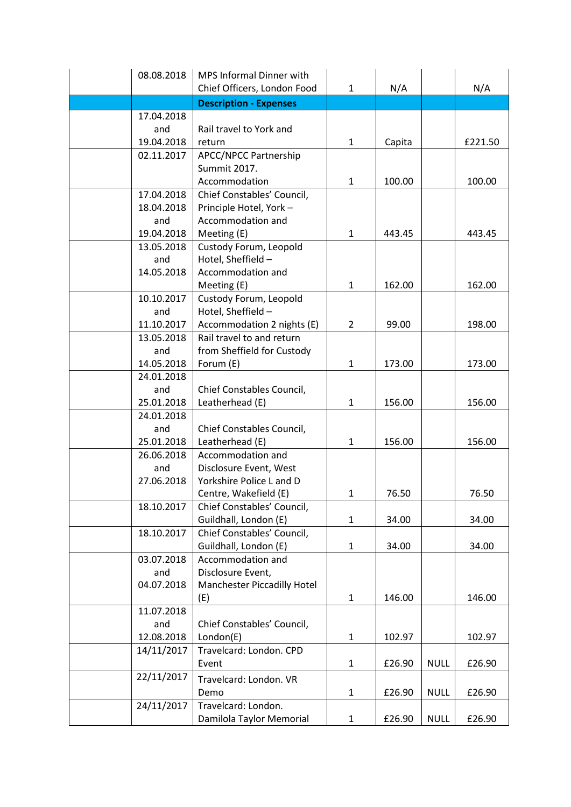| 08.08.2018 | MPS Informal Dinner with      |                |        |             |         |
|------------|-------------------------------|----------------|--------|-------------|---------|
|            | Chief Officers, London Food   | $\mathbf{1}$   | N/A    |             | N/A     |
|            | <b>Description - Expenses</b> |                |        |             |         |
| 17.04.2018 |                               |                |        |             |         |
| and        | Rail travel to York and       |                |        |             |         |
| 19.04.2018 | return                        | $\mathbf{1}$   | Capita |             | £221.50 |
| 02.11.2017 | <b>APCC/NPCC Partnership</b>  |                |        |             |         |
|            | Summit 2017.                  |                |        |             |         |
|            | Accommodation                 | $\mathbf{1}$   | 100.00 |             | 100.00  |
| 17.04.2018 | Chief Constables' Council,    |                |        |             |         |
| 18.04.2018 | Principle Hotel, York-        |                |        |             |         |
| and        | Accommodation and             |                |        |             |         |
| 19.04.2018 | Meeting (E)                   | $\mathbf{1}$   | 443.45 |             | 443.45  |
| 13.05.2018 | Custody Forum, Leopold        |                |        |             |         |
| and        | Hotel, Sheffield -            |                |        |             |         |
| 14.05.2018 | Accommodation and             |                |        |             |         |
|            | Meeting (E)                   | $\mathbf{1}$   | 162.00 |             | 162.00  |
| 10.10.2017 | Custody Forum, Leopold        |                |        |             |         |
| and        | Hotel, Sheffield -            |                |        |             |         |
| 11.10.2017 | Accommodation 2 nights (E)    | $\overline{2}$ | 99.00  |             | 198.00  |
| 13.05.2018 | Rail travel to and return     |                |        |             |         |
| and        | from Sheffield for Custody    |                |        |             |         |
| 14.05.2018 | Forum (E)                     | $\mathbf{1}$   | 173.00 |             | 173.00  |
| 24.01.2018 |                               |                |        |             |         |
| and        | Chief Constables Council,     |                |        |             |         |
| 25.01.2018 | Leatherhead (E)               | $\mathbf{1}$   | 156.00 |             | 156.00  |
| 24.01.2018 |                               |                |        |             |         |
| and        | Chief Constables Council,     |                |        |             |         |
| 25.01.2018 | Leatherhead (E)               | $\mathbf{1}$   | 156.00 |             | 156.00  |
| 26.06.2018 | Accommodation and             |                |        |             |         |
| and        | Disclosure Event, West        |                |        |             |         |
| 27.06.2018 | Yorkshire Police L and D      |                |        |             |         |
|            | Centre, Wakefield (E)         | $\mathbf{1}$   | 76.50  |             | 76.50   |
| 18.10.2017 | Chief Constables' Council,    |                |        |             |         |
|            | Guildhall, London (E)         | $\mathbf{1}$   | 34.00  |             | 34.00   |
| 18.10.2017 | Chief Constables' Council,    |                |        |             |         |
|            | Guildhall, London (E)         | $\mathbf{1}$   | 34.00  |             | 34.00   |
| 03.07.2018 | Accommodation and             |                |        |             |         |
| and        | Disclosure Event,             |                |        |             |         |
| 04.07.2018 | Manchester Piccadilly Hotel   |                |        |             |         |
|            | (E)                           | $\mathbf{1}$   | 146.00 |             | 146.00  |
| 11.07.2018 |                               |                |        |             |         |
| and        | Chief Constables' Council,    |                |        |             |         |
| 12.08.2018 | London(E)                     | $\mathbf{1}$   | 102.97 |             | 102.97  |
| 14/11/2017 | Travelcard: London. CPD       |                |        |             |         |
|            | Event                         | $\mathbf{1}$   | £26.90 | <b>NULL</b> | £26.90  |
| 22/11/2017 | Travelcard: London. VR        |                |        |             |         |
|            | Demo                          | $\mathbf{1}$   | £26.90 | <b>NULL</b> | £26.90  |
| 24/11/2017 | Travelcard: London.           |                |        |             |         |
|            | Damilola Taylor Memorial      | $\mathbf{1}$   | £26.90 | <b>NULL</b> | £26.90  |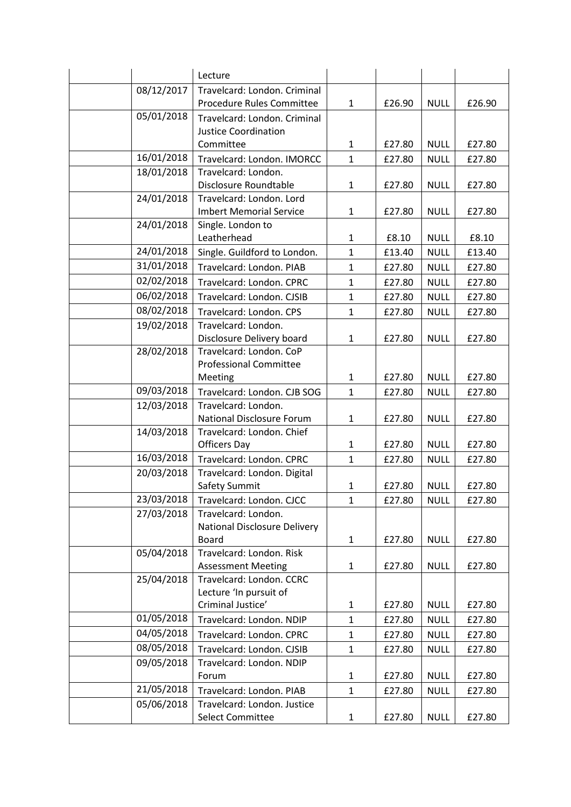|            | Lecture                           |              |        |             |        |
|------------|-----------------------------------|--------------|--------|-------------|--------|
| 08/12/2017 | Travelcard: London. Criminal      |              |        |             |        |
|            | Procedure Rules Committee         | $\mathbf{1}$ | £26.90 | <b>NULL</b> | £26.90 |
| 05/01/2018 | Travelcard: London. Criminal      |              |        |             |        |
|            | <b>Justice Coordination</b>       |              |        |             |        |
|            | Committee                         | $\mathbf{1}$ | £27.80 | <b>NULL</b> | £27.80 |
| 16/01/2018 | Travelcard: London. IMORCC        | $\mathbf{1}$ | £27.80 | <b>NULL</b> | £27.80 |
| 18/01/2018 | Travelcard: London.               |              |        |             |        |
|            | Disclosure Roundtable             | 1            | £27.80 | <b>NULL</b> | £27.80 |
| 24/01/2018 | Travelcard: London. Lord          |              |        |             |        |
|            | <b>Imbert Memorial Service</b>    | $\mathbf{1}$ | £27.80 | <b>NULL</b> | £27.80 |
| 24/01/2018 | Single. London to                 |              |        |             |        |
|            | Leatherhead                       | $\mathbf{1}$ | £8.10  | <b>NULL</b> | £8.10  |
| 24/01/2018 | Single. Guildford to London.      | $\mathbf{1}$ | £13.40 | <b>NULL</b> | £13.40 |
| 31/01/2018 | Travelcard: London. PIAB          | $\mathbf{1}$ | £27.80 | <b>NULL</b> | £27.80 |
| 02/02/2018 | Travelcard: London. CPRC          | $\mathbf{1}$ | £27.80 | <b>NULL</b> | £27.80 |
| 06/02/2018 | Travelcard: London. CJSIB         | $\mathbf{1}$ | £27.80 | <b>NULL</b> | £27.80 |
| 08/02/2018 | Travelcard: London. CPS           | $\mathbf{1}$ | £27.80 | <b>NULL</b> | £27.80 |
| 19/02/2018 | Travelcard: London.               |              |        |             |        |
|            | Disclosure Delivery board         | $\mathbf{1}$ | £27.80 | <b>NULL</b> | £27.80 |
| 28/02/2018 | Travelcard: London. CoP           |              |        |             |        |
|            | <b>Professional Committee</b>     |              |        |             |        |
|            | Meeting                           | $\mathbf{1}$ | £27.80 | <b>NULL</b> | £27.80 |
| 09/03/2018 | Travelcard: London. CJB SOG       | $\mathbf{1}$ | £27.80 | <b>NULL</b> | £27.80 |
| 12/03/2018 | Travelcard: London.               |              |        |             |        |
|            | National Disclosure Forum         | $\mathbf{1}$ | £27.80 | <b>NULL</b> | £27.80 |
| 14/03/2018 | Travelcard: London. Chief         |              |        |             |        |
|            | <b>Officers Day</b>               | 1            | £27.80 | <b>NULL</b> | £27.80 |
| 16/03/2018 | Travelcard: London. CPRC          | $\mathbf{1}$ | £27.80 | <b>NULL</b> | £27.80 |
| 20/03/2018 | Travelcard: London. Digital       |              |        |             |        |
|            | Safety Summit                     | $\mathbf{1}$ | £27.80 | <b>NULL</b> | £27.80 |
| 23/03/2018 | Travelcard: London. CJCC          | 1            | £27.80 | <b>NULL</b> | £27.80 |
| 27/03/2018 | Travelcard: London.               |              |        |             |        |
|            | National Disclosure Delivery      |              |        |             |        |
| 05/04/2018 | Board<br>Travelcard: London. Risk | $\mathbf{1}$ | £27.80 | <b>NULL</b> | £27.80 |
|            | <b>Assessment Meeting</b>         | $\mathbf{1}$ | £27.80 | <b>NULL</b> | £27.80 |
| 25/04/2018 | Travelcard: London. CCRC          |              |        |             |        |
|            | Lecture 'In pursuit of            |              |        |             |        |
|            | Criminal Justice'                 | 1            | £27.80 | <b>NULL</b> | £27.80 |
| 01/05/2018 | Travelcard: London. NDIP          | $\mathbf{1}$ | £27.80 | <b>NULL</b> | £27.80 |
| 04/05/2018 | Travelcard: London. CPRC          | $\mathbf{1}$ | £27.80 | <b>NULL</b> | £27.80 |
| 08/05/2018 | Travelcard: London. CJSIB         | $\mathbf{1}$ | £27.80 | <b>NULL</b> | £27.80 |
| 09/05/2018 | Travelcard: London. NDIP          |              |        |             |        |
|            | Forum                             | $\mathbf{1}$ | £27.80 | <b>NULL</b> | £27.80 |
| 21/05/2018 | Travelcard: London. PIAB          | $\mathbf{1}$ | £27.80 | <b>NULL</b> | £27.80 |
| 05/06/2018 | Travelcard: London. Justice       |              |        |             |        |
|            | Select Committee                  | $\mathbf{1}$ | £27.80 | <b>NULL</b> | £27.80 |